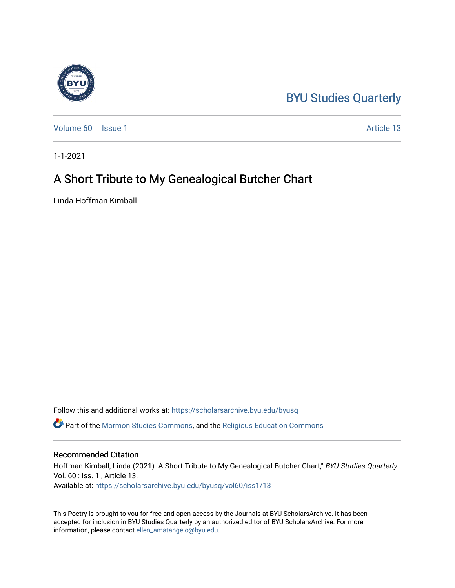## [BYU Studies Quarterly](https://scholarsarchive.byu.edu/byusq)

[Volume 60](https://scholarsarchive.byu.edu/byusq/vol60) | [Issue 1](https://scholarsarchive.byu.edu/byusq/vol60/iss1) Article 13

1-1-2021

## A Short Tribute to My Genealogical Butcher Chart

Linda Hoffman Kimball

Follow this and additional works at: [https://scholarsarchive.byu.edu/byusq](https://scholarsarchive.byu.edu/byusq?utm_source=scholarsarchive.byu.edu%2Fbyusq%2Fvol60%2Fiss1%2F13&utm_medium=PDF&utm_campaign=PDFCoverPages) 

Part of the [Mormon Studies Commons](http://network.bepress.com/hgg/discipline/1360?utm_source=scholarsarchive.byu.edu%2Fbyusq%2Fvol60%2Fiss1%2F13&utm_medium=PDF&utm_campaign=PDFCoverPages), and the [Religious Education Commons](http://network.bepress.com/hgg/discipline/1414?utm_source=scholarsarchive.byu.edu%2Fbyusq%2Fvol60%2Fiss1%2F13&utm_medium=PDF&utm_campaign=PDFCoverPages) 

## Recommended Citation

Hoffman Kimball, Linda (2021) "A Short Tribute to My Genealogical Butcher Chart," BYU Studies Quarterly: Vol. 60 : Iss. 1 , Article 13. Available at: [https://scholarsarchive.byu.edu/byusq/vol60/iss1/13](https://scholarsarchive.byu.edu/byusq/vol60/iss1/13?utm_source=scholarsarchive.byu.edu%2Fbyusq%2Fvol60%2Fiss1%2F13&utm_medium=PDF&utm_campaign=PDFCoverPages) 

This Poetry is brought to you for free and open access by the Journals at BYU ScholarsArchive. It has been accepted for inclusion in BYU Studies Quarterly by an authorized editor of BYU ScholarsArchive. For more information, please contact [ellen\\_amatangelo@byu.edu.](mailto:ellen_amatangelo@byu.edu)